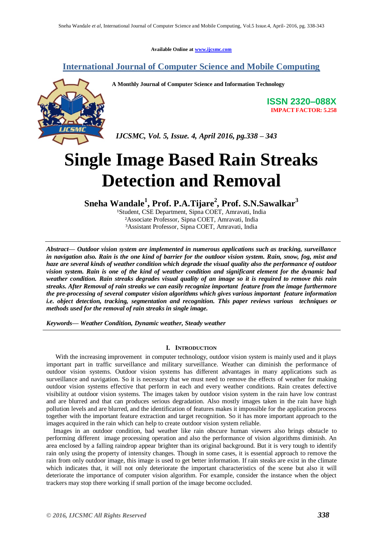**Available Online at [www.ijcsmc.com](http://www.ijcsmc.com/)**

# **International Journal of Computer Science and Mobile Computing**



**A Monthly Journal of Computer Science and Information Technology**

**ISSN 2320–088X IMPACT FACTOR: 5.258**

 *IJCSMC, Vol. 5, Issue. 4, April 2016, pg.338 – 343*

# **Single Image Based Rain Streaks Detection and Removal**

**Sneha Wandale<sup>1</sup> , Prof. P.A.Tijare<sup>2</sup> , Prof. S.N.Sawalkar<sup>3</sup>**

<sup>1</sup>Student, CSE Department, Sipna COET, Amravati, India ²Associate Professor, Sipna COET, Amravati, India ³Assistant Professor, Sipna COET, Amravati, India

*Abstract— Outdoor vision system are implemented in numerous applications such as tracking, surveillance in navigation also. Rain is the one kind of barrier for the outdoor vision system. Rain, snow, fog, mist and haze are several kinds of weather condition which degrade the visual quality also the performance of outdoor vision system. Rain is one of the kind of weather condition and significant element for the dynamic bad weather condition. Rain streaks degrades visual quality of an image so it is required to remove this rain streaks. After Removal of rain streaks we can easily recognize important feature from the image furthermore the pre-processing of several computer vision algorithms which gives various important feature information i.e. object detection, tracking, segmentation and recognition. This paper reviews various techniques or methods used for the removal of rain streaks in single image.*

*Keywords— Weather Condition, Dynamic weather, Steady weather*

### **I. INTRODUCTION**

With the increasing improvement in computer technology, outdoor vision system is mainly used and it plays important part in traffic surveillance and military surveillance. Weather can diminish the performance of outdoor vision systems. Outdoor vision systems has different advantages in many applications such as surveillance and navigation. So it is necessary that we must need to remove the effects of weather for making outdoor vision systems effective that perform in each and every weather conditions. Rain creates defective visibility at outdoor vision systems. The images taken by outdoor vision system in the rain have low contrast and are blurred and that can produces serious degradation. Also mostly images taken in the rain have high pollution levels and are blurred, and the identification of features makes it impossible for the application process together with the important feature extraction and target recognition. So it has more important approach to the images acquired in the rain which can help to create outdoor vision system reliable.

Images in an outdoor condition, bad weather like rain obscure human viewers also brings obstacle to performing different image processing operation and also the performance of vision algorithms diminish. An area enclosed by a falling raindrop appear brighter than its original background. But it is very tough to identify rain only using the property of intensity changes. Though in some cases, it is essential approach to remove the rain from only outdoor image, this image is used to get better information. If rain steaks are exist in the climate which indicates that, it will not only deteriorate the important characteristics of the scene but also it will deteriorate the importance of computer vision algorithm. For example, consider the instance when the object trackers may stop there working if small portion of the image become occluded.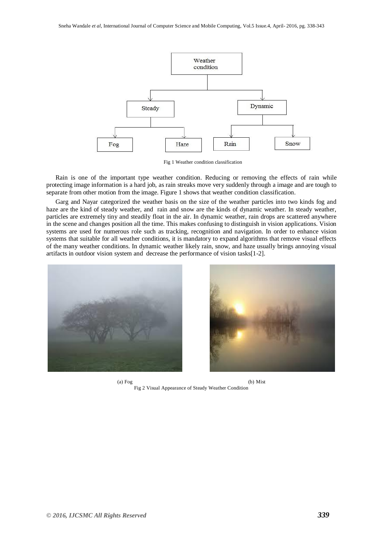

Fig 1 Weather condition classification

Rain is one of the important type weather condition. Reducing or removing the effects of rain while protecting image information is a hard job, as rain streaks move very suddenly through a image and are tough to separate from other motion from the image. Figure 1 shows that weather condition classification.

Garg and Nayar categorized the weather basis on the size of the weather particles into two kinds fog and haze are the kind of steady weather, and rain and snow are the kinds of dynamic weather. In steady weather, particles are extremely tiny and steadily float in the air. In dynamic weather, rain drops are scattered anywhere in the scene and changes position all the time. This makes confusing to distinguish in vision applications. Vision systems are used for numerous role such as tracking, recognition and navigation. In order to enhance vision systems that suitable for all weather conditions, it is mandatory to expand algorithms that remove visual effects of the many weather conditions. In dynamic weather likely rain, snow, and haze usually brings annoying visual artifacts in outdoor vision system and decrease the performance of vision tasks[1-2].



(a) Fog (b) Mist Fig 2 Visual Appearance of Steady Weather Condition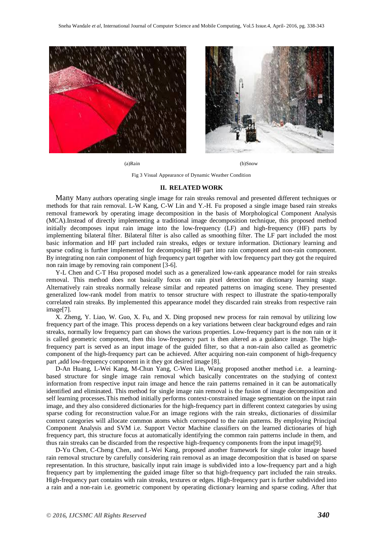



(a)Rain (b)Snow

Fig 3 Visual Appearance of Dynamic Weather Condition

#### **II. RELATED WORK**

Many Many authors operating single image for rain streaks removal and presented different techniques or methods for that rain removal. L-W Kang, C-W Lin and Y.-H. Fu proposed a single image based rain streaks removal framework by operating image decomposition in the basis of Morphological Component Analysis (MCA).Instead of directly implementing a traditional image decomposition technique, this proposed method initially decomposes input rain image into the low-frequency (LF) and high-frequency (HF) parts by implementing bilateral filter. Bilateral filter is also called as smoothing filter. The LF part included the most basic information and HF part included rain streaks, edges or texture information. Dictionary learning and sparse coding is further implemented for decomposing HF part into rain component and non-rain component. By integrating non rain component of high frequency part together with low frequency part they got the required non rain image by removing rain component [3-6].

Y-L Chen and C-T Hsu proposed model such as a generalized low-rank appearance model for rain streaks removal. This method does not basically focus on rain pixel detection nor dictionary learning stage. Alternatively rain streaks normally release similar and repeated patterns on imaging scene. They presented generalized low-rank model from matrix to tensor structure with respect to illustrate the spatio-temporally correlated rain streaks. By implemented this appearance model they discarded rain streaks from respective rain image[7].

X. Zheng, Y. Liao, W. Guo, X. Fu, and X. Ding proposed new process for rain removal by utilizing low frequency part of the image. This process depends on a key variations between clear background edges and rain streaks, normally low frequency part can shows the various properties. Low-frequency part is the non rain or it is called geometric component, then this low-frequency part is then altered as a guidance image. The highfrequency part is served as an input image of the guided filter, so that a non-rain also called as geometric component of the high-frequency part can be achieved. After acquiring non-rain component of high-frequency part ,add low-frequency component in it they got desired image [8].

D-An Huang, L-Wei Kang, M-Chun Yang, C-Wen Lin, Wang proposed another method i.e. a learningbased structure for single image rain removal which basically concentrates on the studying of context information from respective input rain image and hence the rain patterns remained in it can be automatically identified and eliminated. This method for single image rain removal is the fusion of image decomposition and self learning processes.This method initially performs context-constrained image segmentation on the input rain image, and they also considered dictionaries for the high-frequency part in different context categories by using sparse coding for reconstruction value.For an image regions with the rain streaks, dictionaries of dissimilar context categories will allocate common atoms which correspond to the rain patterns. By employing Principal Component Analysis and SVM i.e. Support Vector Machine classifiers on the learned dictionaries of high frequency part, this structure focus at automatically identifying the common rain patterns include in them, and thus rain streaks can be discarded from the respective high-frequency components from the input image[9].

D-Yu Chen, C-Cheng Chen, and L-Wei Kang, proposed another framework for single color image based rain removal structure by carefully considering rain removal as an image decomposition that is based on sparse representation. In this structure, basically input rain image is subdivided into a low-frequency part and a high frequency part by implementing the guided image filter so that high-frequency part included the rain streaks. High-frequency part contains with rain streaks, textures or edges. High-frequency part is further subdivided into a rain and a non-rain i.e. geometric component by operating dictionary learning and sparse coding. After that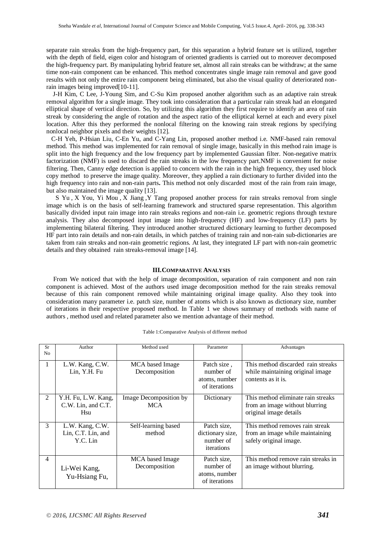separate rain streaks from the high-frequency part, for this separation a hybrid feature set is utilized, together with the depth of field, eigen color and histogram of oriented gradients is carried out to moreover decomposed the high-frequency part. By manipulating hybrid feature set, almost all rain streaks can be withdraw; at the same time non-rain component can be enhanced. This method concentrates single image rain removal and gave good results with not only the entire rain component being eliminated, but also the visual quality of deteriorated nonrain images being improved[10-11].

 J-H Kim, C Lee, J-Young Sim, and C-Su Kim proposed another algorithm such as an adaptive rain streak removal algorithm for a single image. They took into consideration that a particular rain streak had an elongated elliptical shape of vertical direction. So, by utilizing this algorithm they first require to identify an area of rain streak by considering the angle of rotation and the aspect ratio of the elliptical kernel at each and every pixel location. After this they performed the nonlocal filtering on the knowing rain streak regions by specifying nonlocal neighbor pixels and their weights [12].

 C-H Yeh, P-Hsian Liu, C-En Yu, and C-Yang Lin, proposed another method i.e. NMF-based rain removal method. This method was implemented for rain removal of single image, basically in this method rain image is split into the high frequency and the low frequency part by implemented Gaussian filter. Non-negative matrix factorization (NMF) is used to discard the rain streaks in the low frequency part.NMF is convenient for noise filtering. Then, Canny edge detection is applied to concern with the rain in the high frequency, they used block copy method to preserve the image quality. Moreover, they applied a rain dictionary to further divided into the high frequency into rain and non-rain parts**.** This method not only discarded most of the rain from rain image, but also maintained the image quality [13].

[S Yu](http://ieeexplore.ieee.org/search/searchresult.jsp?searchWithin=%22Authors%22:.QT.Shujian%20Yu.QT.&newsearch=true) , [X You,](http://ieeexplore.ieee.org/search/searchresult.jsp?searchWithin=%22Authors%22:.QT.Xinge%20You.QT.&newsearch=true) [Yi Mou](http://ieeexplore.ieee.org/search/searchresult.jsp?searchWithin=%22Authors%22:.QT.Yi%20Mou.QT.&newsearch=true) , [X Jiang](http://ieeexplore.ieee.org/search/searchresult.jsp?searchWithin=%22Authors%22:.QT.Xiubao%20Jiang.QT.&newsearch=true) [,Y Tang](http://ieeexplore.ieee.org/search/searchresult.jsp?searchWithin=%22Authors%22:.QT.Yuanyan%20Tang.QT.&newsearch=true) proposed another process for rain streaks removal from single image which is on the basis of self-learning framework and structured sparse representation. This algorithm basically divided input rain image into rain streaks regions and non-rain i.e. geometric regions through texture analysis. They also decomposed input image into high-frequency (HF) and low-frequency (LF) parts by implementing bilateral filtering. They introduced another structured dictionary learning to further decomposed HF part into rain details and non-rain details, in which patches of training rain and non-rain sub-dictionaries are taken from rain streaks and non-rain geometric regions. At last, they integrated LF part with non-rain geometric details and they obtained rain streaks-removal image [14].

#### **III.COMPARATIVE ANALYSIS**

From We noticed that with the help of image decomposition, separation of rain component and non rain component is achieved. Most of the authors used image decomposition method for the rain streaks removal because of this rain component removed while maintaining original image quality. Also they took into consideration many parameter i.e. patch size, number of atoms which is also known as dictionary size, number of iterations in their respective proposed method. In Table 1 we shows summary of methods with name of authors , method used and related parameter also we mention advantage of their method.

| Sr             | Author                                            | Method used                          | Parameter                                                  | Advantages                                                                                     |
|----------------|---------------------------------------------------|--------------------------------------|------------------------------------------------------------|------------------------------------------------------------------------------------------------|
| No             |                                                   |                                      |                                                            |                                                                                                |
|                | L.W. Kang, C.W.<br>Lin, Y.H. Fu                   | MCA based Image<br>Decomposition     | Patch size,<br>number of<br>atoms, number<br>of iterations | This method discarded rain streaks<br>while maintaining original image<br>contents as it is.   |
| $\mathfrak{D}$ | Y.H. Fu, L.W. Kang,<br>C.W. Lin, and C.T.<br>Hsu  | Image Decomposition by<br><b>MCA</b> | Dictionary                                                 | This method eliminate rain streaks<br>from an image without blurring<br>original image details |
| 3              | L.W. Kang, C.W.<br>Lin, C.T. Lin, and<br>Y.C. Lin | Self-learning based<br>method        | Patch size,<br>dictionary size,<br>number of<br>iterations | This method removes rain streak<br>from an image while maintaining<br>safely original image.   |
| 4              | Li-Wei Kang,<br>Yu-Hsiang Fu,                     | MCA based Image<br>Decomposition     | Patch size,<br>number of<br>atoms, number<br>of iterations | This method remove rain streaks in<br>an image without blurring.                               |

Table 1:Comparative Analysis of different method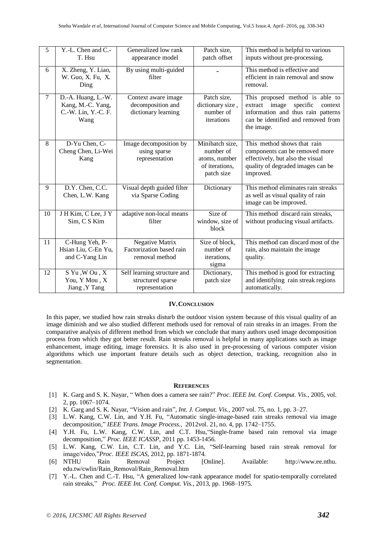| 5      | Y.-L. Chen and C.-<br>T. Hsu                                           | Generalized low rank<br>appearance model                             | Patch size,<br>patch offset                                                   | This method is helpful to various<br>inputs without pre-processing.                                                                                                  |
|--------|------------------------------------------------------------------------|----------------------------------------------------------------------|-------------------------------------------------------------------------------|----------------------------------------------------------------------------------------------------------------------------------------------------------------------|
| 6      | X. Zheng, Y. Liao,<br>W. Guo, X. Fu, X.<br>Ding                        | By using multi-guided<br>filter                                      |                                                                               | This method is effective and<br>efficient in rain removal and snow<br>removal.                                                                                       |
| $\tau$ | D.-A. Huang, L.-W.<br>Kang, M.-C. Yang,<br>C.-W. Lin, Y.-C. F.<br>Wang | Context aware image<br>decomposition and<br>dictionary learning      | Patch size,<br>dictionary size,<br>number of<br>iterations                    | This proposed method is able to<br>extract<br>image<br>specific<br>context<br>information and thus rain patterns<br>can be identified and removed from<br>the image. |
| 8      | D-Yu Chen, C-<br>Cheng Chen, Li-Wei<br>Kang                            | Image decomposition by<br>using sparse<br>representation             | Minibatch size,<br>number of<br>atoms, number<br>of iterations,<br>patch size | This method shows that rain<br>components can be removed more<br>effectively, but also the visual<br>quality of degraded images can be<br>improved.                  |
| 9      | D.Y. Chen, C.C.<br>Chen, L.W. Kang                                     | Visual depth guided filter<br>via Sparse Coding                      | Dictionary                                                                    | This method eliminates rain streaks<br>as well as visual quality of rain<br>image can be improved.                                                                   |
| 10     | J H Kim, C Lee, J Y<br>Sim, C S Kim                                    | adaptive non-local means<br>filter                                   | Size of<br>window, size of<br>block                                           | This method discard rain streaks,<br>without producing visual artifacts.                                                                                             |
| 11     | C-Hung Yeh, P-<br>Hsian Liu, C-En Yu,<br>and C-Yang Lin                | <b>Negative Matrix</b><br>Factorization based rain<br>removal method | Size of block,<br>number of<br>iterations,<br>sigma                           | This method can discard most of the<br>rain, also maintain the image<br>quality.                                                                                     |
| 12     | S Yu, WOu, X<br>You, Y Mou, X<br>Jiang, Y Tang                         | Self learning structure and<br>structured sparse<br>representation   | Dictionary,<br>patch size                                                     | This method is good for extracting<br>and identifying rain streak regions<br>automatically.                                                                          |

# **IV.CONCLUSION**

In this paper, we studied how rain streaks disturb the outdoor vision system because of this visual quality of an image diminish and we also studied different methods used for removal of rain streaks in an images. From the comparative analysis of different method from which we conclude that many authors used image decomposition process from which they got better result. Rain streaks removal is helpful in many applications such as image enhancement, image editing, image forensics. It is also used in pre-processing of various computer vision algorithms which use important feature details such as object detection, tracking, recognition also in segmentation.

## **REFERENCES**

- [1] K. Garg and S. K. Nayar, " When does a camera see rain?" *Proc. IEEE Int. Conf. Comput. Vis.*, 2005, vol. 2, pp. 1067–1074.
- [2] K. Garg and S. K. Nayar, "Vision and rain", *Int. J. Comput. Vis.*, 2007 vol. 75, no. 1, pp. 3–27.
- [3] L.W. Kang, C.W. Lin, and Y.H. Fu, "Automatic single-image-based rain streaks removal via image decomposition," *IEEE Trans. Image Process.*, 2012vol. 21, no. 4, pp. 1742–1755.
- [4] Y.H. Fu, L.W. Kang, C.W. Lin, and C.T. Hsu,"Single-frame based rain removal via image decomposition," *Proc. IEEE ICASSP*, 2011 pp. 1453-1456.
- [5] L.W. Kang, C.W. Lin, C.T. Lin, and Y.C. Lin, "Self-learning based rain streak removal for image/video,"*Proc*. *IEEE ISCAS*, 2012, pp. 1871-1874.
- [6] NTHU Rain Removal Project [Online]. Available: [http://www.ee.nthu.](http://www.ee.nthu/) edu.tw/cwlin/Rain\_Removal/Rain\_Removal.htm
- [7] Y.-L. Chen and C.-T. Hsu, "A generalized low-rank appearance model for spatio-temporally correlated rain streaks," *Proc. IEEE Int. Conf. Comput. Vis.*, 2013, pp. 1968–1975.